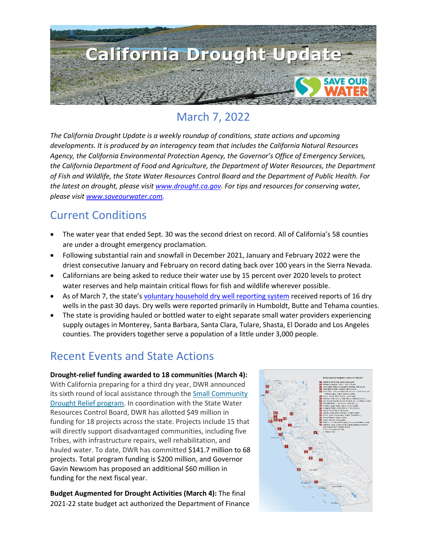

# March 7, 2022

*The California Drought Update is a weekly roundup of conditions, state actions and upcoming developments. It is produced by an interagency team that includes the California Natural Resources Agency, the California Environmental Protection Agency, the Governor's Office of Emergency Services, the California Department of Food and Agriculture, the Department of Water Resources, the Department of Fish and Wildlife, the State Water Resources Control Board and the Department of Public Health. For the latest on drought, please visit [www.drought.ca.gov.](http://www.drought.ca.gov/) For tips and resources for conserving water, please visit [www.saveourwater.com.](http://www.saveourwater.com/)*

## Current Conditions

- The water year that ended Sept. 30 was the second driest on record. All of California's 58 counties are under a drought emergency proclamation.
- Following substantial rain and snowfall in December 2021, January and February 2022 were the driest consecutive January and February on record dating back over 100 years in the Sierra Nevada.
- Californians are being asked to reduce their water use by 15 percent over 2020 levels to protect water reserves and help maintain critical flows for fish and wildlife wherever possible.
- As of March 7, the state's [voluntary household dry well reporting system](https://mydrywell.water.ca.gov/report/) received reports of 16 dry wells in the past 30 days. Dry wells were reported primarily in Humboldt, Butte and Tehama counties.
- The state is providing hauled or bottled water to eight separate small water providers experiencing supply outages in Monterey, Santa Barbara, Santa Clara, Tulare, Shasta, El Dorado and Los Angeles counties. The providers together serve a population of a little under 3,000 people.

## Recent Events and State Actions

**Drought-relief funding awarded to 18 communities (March 4):** With California preparing for a third dry year, DWR announced its sixth round of local assistance through the [Small Community](https://water.ca.gov/Water-Basics/Drought/Small-Community-Drought-Relief)  [Drought Relief program.](https://water.ca.gov/Water-Basics/Drought/Small-Community-Drought-Relief) In coordination with the State Water Resources Control Board, DWR has allotted \$49 million in funding for 18 projects across the state. Projects include 15 that will directly support disadvantaged communities, including five Tribes, with infrastructure repairs, well rehabilitation, and hauled water. To date, DWR has committed \$141.7 million to 68 projects. Total program funding is \$200 million, and Governor Gavin Newsom has proposed an additional \$60 million in funding for the next fiscal year.

**Budget Augmented for Drought Activities (March 4):** The final 2021-22 state budget act authorized the Department of Finance

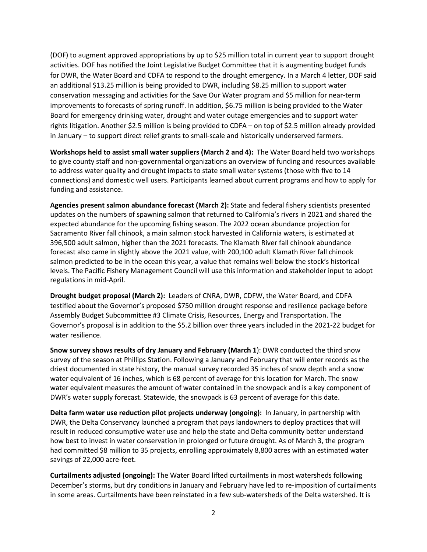(DOF) to augment approved appropriations by up to \$25 million total in current year to support drought activities. DOF has notified the Joint Legislative Budget Committee that it is augmenting budget funds for DWR, the Water Board and CDFA to respond to the drought emergency. In a March 4 letter, DOF said an additional \$13.25 million is being provided to DWR, including \$8.25 million to support water conservation messaging and activities for the Save Our Water program and \$5 million for near-term improvements to forecasts of spring runoff. In addition, \$6.75 million is being provided to the Water Board for emergency drinking water, drought and water outage emergencies and to support water rights litigation. Another \$2.5 million is being provided to CDFA – on top of \$2.5 million already provided in January – to support direct relief grants to small-scale and historically underserved farmers.

**Workshops held to assist small water suppliers (March 2 and 4):** The Water Board held two workshops to give county staff and non-governmental organizations an overview of funding and resources available to address water quality and drought impacts to state small water systems (those with five to 14 connections) and domestic well users. Participants learned about current programs and how to apply for funding and assistance.

**Agencies present salmon abundance forecast (March 2):** State and federal fishery scientists presented updates on the numbers of spawning salmon that returned to California's rivers in 2021 and shared the expected abundance for the upcoming fishing season. The 2022 ocean abundance projection for Sacramento River fall chinook, a main salmon stock harvested in California waters, is estimated at 396,500 adult salmon, higher than the 2021 forecasts. The Klamath River fall chinook abundance forecast also came in slightly above the 2021 value, with 200,100 adult Klamath River fall chinook salmon predicted to be in the ocean this year, a value that remains well below the stock's historical levels. The Pacific Fishery Management Council will use this information and stakeholder input to adopt regulations in mid-April.

**Drought budget proposal (March 2):** Leaders of CNRA, DWR, CDFW, the Water Board, and CDFA testified about the Governor's proposed \$750 million drought response and resilience package before Assembly Budget Subcommittee #3 Climate Crisis, Resources, Energy and Transportation. The Governor's proposal is in addition to the \$5.2 billion over three years included in the 2021-22 budget for water resilience.

**Snow survey shows results of dry January and February (March 1**): DWR conducted the third snow survey of the season at Phillips Station. Following a January and February that will enter records as the driest documented in state history, the manual survey recorded 35 inches of snow depth and a snow water equivalent of 16 inches, which is 68 percent of average for this location for March. The snow water equivalent measures the amount of water contained in the snowpack and is a key component of DWR's water supply forecast. Statewide, the snowpack is 63 percent of average for this date.

**Delta farm water use reduction pilot projects underway (ongoing):** In January, in partnership with DWR, the Delta Conservancy launched a program that pays landowners to deploy practices that will result in reduced consumptive water use and help the state and Delta community better understand how best to invest in water conservation in prolonged or future drought. As of March 3, the program had committed \$8 million to 35 projects, enrolling approximately 8,800 acres with an estimated water savings of 22,000 acre-feet.

**Curtailments adjusted (ongoing):** The Water Board lifted curtailments in most watersheds following December's storms, but dry conditions in January and February have led to re-imposition of curtailments in some areas. Curtailments have been reinstated in a few sub-watersheds of the Delta watershed. It is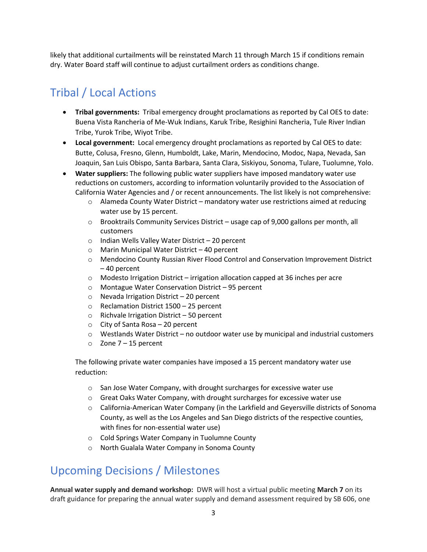likely that additional curtailments will be reinstated March 11 through March 15 if conditions remain dry. Water Board staff will continue to adjust curtailment orders as conditions change.

# Tribal / Local Actions

- **Tribal governments:** Tribal emergency drought proclamations as reported by Cal OES to date: Buena Vista Rancheria of Me-Wuk Indians, Karuk Tribe, Resighini Rancheria, Tule River Indian Tribe, Yurok Tribe, Wiyot Tribe.
- **Local government:** Local emergency drought proclamations as reported by Cal OES to date: Butte, Colusa, Fresno, Glenn, Humboldt, Lake, Marin, Mendocino, Modoc, Napa, Nevada, San Joaquin, San Luis Obispo, Santa Barbara, Santa Clara, Siskiyou, Sonoma, Tulare, Tuolumne, Yolo.
- **Water suppliers:** The following public water suppliers have imposed mandatory water use reductions on customers, according to information voluntarily provided to the Association of California Water Agencies and / or recent announcements. The list likely is not comprehensive:
	- o Alameda County Water District mandatory water use restrictions aimed at reducing water use by 15 percent.
	- $\circ$  Brooktrails Community Services District usage cap of 9,000 gallons per month, all customers
	- o Indian Wells Valley Water District 20 percent
	- o Marin Municipal Water District 40 percent
	- o Mendocino County Russian River Flood Control and Conservation Improvement District – 40 percent
	- $\circ$  Modesto Irrigation District irrigation allocation capped at 36 inches per acre
	- o Montague Water Conservation District 95 percent
	- o Nevada Irrigation District 20 percent
	- o Reclamation District 1500 25 percent
	- o Richvale Irrigation District 50 percent
	- o City of Santa Rosa 20 percent
	- $\circ$  Westlands Water District no outdoor water use by municipal and industrial customers
	- $\circ$  Zone 7 15 percent

The following private water companies have imposed a 15 percent mandatory water use reduction:

- o San Jose Water Company, with drought surcharges for excessive water use
- $\circ$  Great Oaks Water Company, with drought surcharges for excessive water use
- o California-American Water Company (in the Larkfield and Geyersville districts of Sonoma County, as well as the Los Angeles and San Diego districts of the respective counties, with fines for non-essential water use)
- o Cold Springs Water Company in Tuolumne County
- o North Gualala Water Company in Sonoma County

#### Upcoming Decisions / Milestones

**Annual water supply and demand workshop:** DWR will host a virtual public meeting **March 7** on its draft guidance for preparing the annual water supply and demand assessment required by SB 606, one